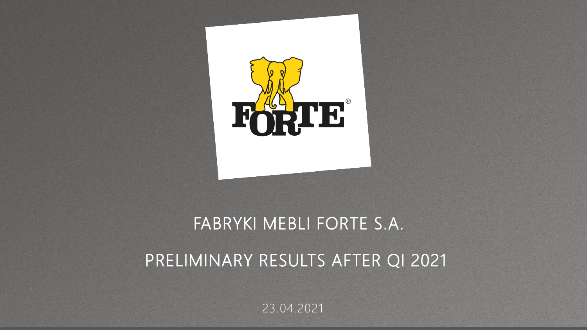

## FABRYKI MEBLI FORTE S.A.

## PRELIMINARY RESULTS AFTER QI 2021

23.04.2021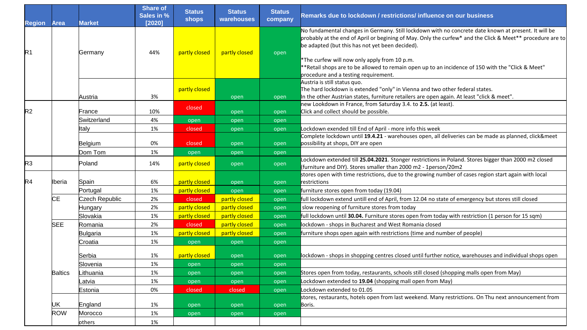| <b>Region</b>  | <b>Area</b>    | <b>Market</b>    | <b>Share of</b><br>Sales in %<br>[2020] | <b>Status</b><br><b>shops</b> | <b>Status</b><br>warehouses | <b>Status</b><br>company | Remarks due to lockdown / restrictions/ influence on our business                                                                                                                                                                                                                                                                                                                                                                                                 |
|----------------|----------------|------------------|-----------------------------------------|-------------------------------|-----------------------------|--------------------------|-------------------------------------------------------------------------------------------------------------------------------------------------------------------------------------------------------------------------------------------------------------------------------------------------------------------------------------------------------------------------------------------------------------------------------------------------------------------|
| R <sub>1</sub> |                | Germany          | 44%                                     | partly closed                 | partly closed               | open                     | No fundamental changes in Germany. Still lockdown with no concrete date known at present. It will be<br>probably at the end of April or begining of May. Only the curfew* and the Click & Meet** procedure are to<br>be adapted (but this has not yet been decided).<br>*The curfew will now only apply from 10 p.m.<br>**Retail shops are to be allowed to remain open up to an incidence of 150 with the "Click & Meet"<br>procedure and a testing requirement. |
|                |                | Austria          | 3%                                      | partly closed                 | open                        | open                     | Austria is still status quo.<br>The hard lockdown is extended "only" in Vienna and two other federal states.<br>In the other Austrian states, furniture retailers are open again. At least "click & meet".                                                                                                                                                                                                                                                        |
| R <sub>2</sub> |                | France           | 10%                                     | closed                        | open                        | open                     | new Lookdown in France, from Saturday 3.4. to 2.5. (at least).<br>Click and collect should be possible.                                                                                                                                                                                                                                                                                                                                                           |
|                |                | Switzerland      | 4%<br>1%                                | open                          | open                        | open                     | Lockdown exended till End of April - more info this week                                                                                                                                                                                                                                                                                                                                                                                                          |
|                |                | Italy<br>Belgium | 0%                                      | closed<br>closed              | open<br>open                | open<br>open             | Complete lockdown until 19.4.21 - warehouses open, all deliveries can be made as planned, click&meet<br>possibility at shops, DIY are open                                                                                                                                                                                                                                                                                                                        |
|                |                | Dom Tom          | 1%                                      | open                          | open                        | open                     |                                                                                                                                                                                                                                                                                                                                                                                                                                                                   |
| R <sub>3</sub> |                | Poland           | 14%                                     | partly closed                 | open                        | open                     | Lockdown extended till 25.04.2021. Stonger restrictions in Poland. Stores bigger than 2000 m2 closed<br>(furniture and DIY). Stores smaller than 2000 m2 - 1person/20m2                                                                                                                                                                                                                                                                                           |
| R4             | lberia         | Spain            | 6%                                      | partly closed                 | open                        | open                     | stores open with time restrictions, due to the growing number of cases region start again with local<br>restrictions                                                                                                                                                                                                                                                                                                                                              |
|                |                | Portugal         | 1%                                      | partly closed                 | open                        | open                     | furniture stores open from today (19.04)                                                                                                                                                                                                                                                                                                                                                                                                                          |
|                | <b>CE</b>      | Czech Republic   | 2%                                      | closed                        | partly closed               | open                     | full lockdown extend untill end of April, from 12.04 no state of emergency but stores still closed                                                                                                                                                                                                                                                                                                                                                                |
|                |                | Hungary          | 2%                                      | partly closed                 | partly closed               | open                     | slow reopening of furniture stores from today                                                                                                                                                                                                                                                                                                                                                                                                                     |
|                |                | Slovakia         | 1%                                      | partly closed                 | partly closed               | open                     | full lockdown until 30.04. Furniture stores open from today with restriction (1 person for 15 sqm)                                                                                                                                                                                                                                                                                                                                                                |
|                | <b>SEE</b>     | Romania          | 2%                                      | closed                        | partly closed               | open                     | lockdown - shops in Bucharest and West Romania closed                                                                                                                                                                                                                                                                                                                                                                                                             |
|                |                | Bulgaria         | 1%                                      | partly closed                 | partly closed               | open                     | furniture shops open again with restrictions (time and number of people)                                                                                                                                                                                                                                                                                                                                                                                          |
|                |                | Croatia          | 1%                                      | open                          | open                        | open                     |                                                                                                                                                                                                                                                                                                                                                                                                                                                                   |
|                |                | Serbia           | 1%                                      | partly closed                 | open                        | open                     | lockdown - shops in shopping centres closed until further notice, warehouses and individual shops open                                                                                                                                                                                                                                                                                                                                                            |
|                | <b>Baltics</b> | Slovenia         | 1%                                      | open                          | open                        | open                     |                                                                                                                                                                                                                                                                                                                                                                                                                                                                   |
|                |                | ∟ithuania        | 1%                                      | open                          | open                        | open                     | Stores open from today, restaurants, schools still closed (shopping malls open from May)                                                                                                                                                                                                                                                                                                                                                                          |
|                |                | Latvıa           | 1%                                      | open                          | open                        | open                     | Lockdown extended to 19.04 (shopping mall open from May)                                                                                                                                                                                                                                                                                                                                                                                                          |
|                |                | Estonia          | 0%                                      | closed                        | closed                      | open                     | Lockdown extended to 01.05                                                                                                                                                                                                                                                                                                                                                                                                                                        |
|                | UK             | England          | 1%                                      | open                          | open                        | open                     | stores, restaurants, hotels open from last weekend. Many restrictions. On Thu next announcement from<br>Boris.                                                                                                                                                                                                                                                                                                                                                    |
|                | ROW            | Morocco          | 1%                                      | open                          | open                        | open                     |                                                                                                                                                                                                                                                                                                                                                                                                                                                                   |
|                |                | others           | 1%                                      |                               |                             |                          |                                                                                                                                                                                                                                                                                                                                                                                                                                                                   |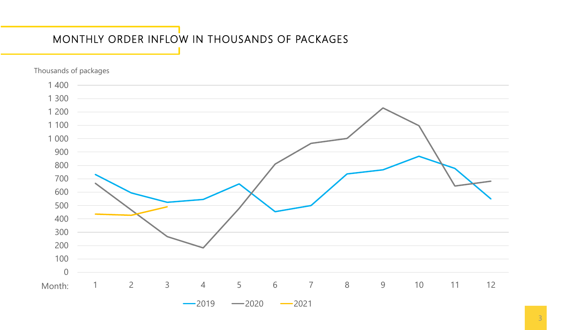## MONTHLY ORDER INFLOW IN THOUSANDS OF PACKAGES

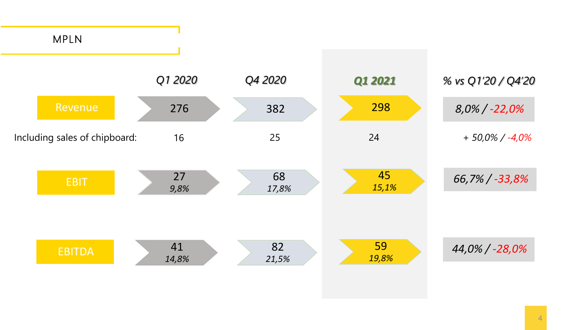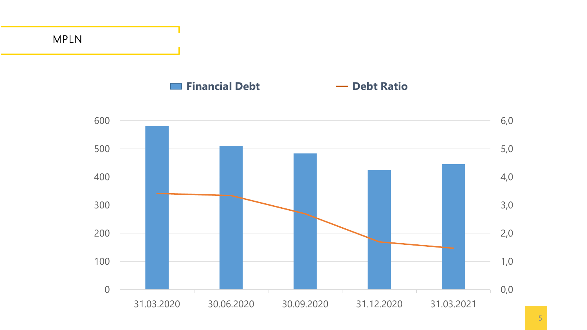MPLN

## **Financial Debt Constanting Constanting Constanting Constanting Constanting Constanting Constanting Constanting Constanting Constanting Constanting Constanting Constanting Constanting Constanting Constanting Constanting**